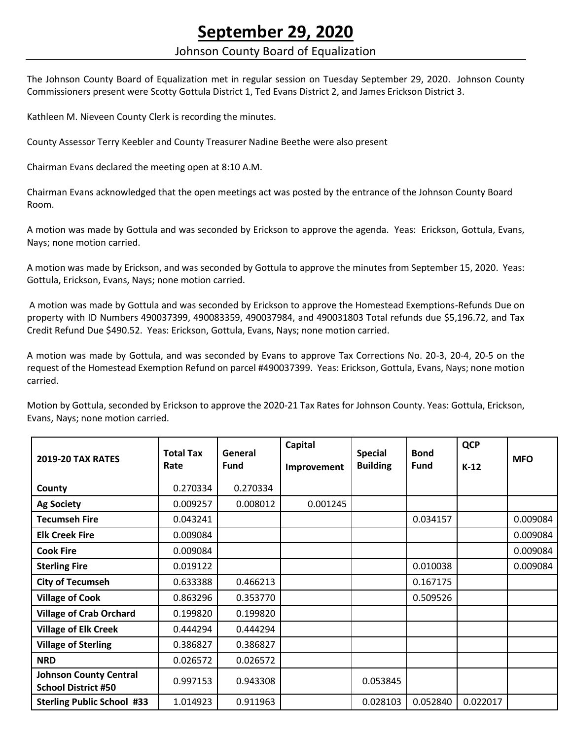## **September 29, 2020**

## Johnson County Board of Equalization

The Johnson County Board of Equalization met in regular session on Tuesday September 29, 2020. Johnson County Commissioners present were Scotty Gottula District 1, Ted Evans District 2, and James Erickson District 3.

Kathleen M. Nieveen County Clerk is recording the minutes.

County Assessor Terry Keebler and County Treasurer Nadine Beethe were also present

Chairman Evans declared the meeting open at 8:10 A.M.

Chairman Evans acknowledged that the open meetings act was posted by the entrance of the Johnson County Board Room.

A motion was made by Gottula and was seconded by Erickson to approve the agenda. Yeas: Erickson, Gottula, Evans, Nays; none motion carried.

A motion was made by Erickson, and was seconded by Gottula to approve the minutes from September 15, 2020. Yeas: Gottula, Erickson, Evans, Nays; none motion carried.

A motion was made by Gottula and was seconded by Erickson to approve the Homestead Exemptions-Refunds Due on property with ID Numbers 490037399, 490083359, 490037984, and 490031803 Total refunds due \$5,196.72, and Tax Credit Refund Due \$490.52. Yeas: Erickson, Gottula, Evans, Nays; none motion carried.

A motion was made by Gottula, and was seconded by Evans to approve Tax Corrections No. 20-3, 20-4, 20-5 on the request of the Homestead Exemption Refund on parcel #490037399. Yeas: Erickson, Gottula, Evans, Nays; none motion carried.

Motion by Gottula, seconded by Erickson to approve the 2020-21 Tax Rates for Johnson County. Yeas: Gottula, Erickson, Evans, Nays; none motion carried.

| <b>2019-20 TAX RATES</b>                                    | <b>Total Tax</b><br>Rate | General<br><b>Fund</b> | Capital<br>Improvement | <b>Special</b><br><b>Building</b> | <b>Bond</b><br><b>Fund</b> | <b>QCP</b><br>$K-12$ | <b>MFO</b> |
|-------------------------------------------------------------|--------------------------|------------------------|------------------------|-----------------------------------|----------------------------|----------------------|------------|
| County                                                      | 0.270334                 | 0.270334               |                        |                                   |                            |                      |            |
| <b>Ag Society</b>                                           | 0.009257                 | 0.008012               | 0.001245               |                                   |                            |                      |            |
| <b>Tecumseh Fire</b>                                        | 0.043241                 |                        |                        |                                   | 0.034157                   |                      | 0.009084   |
| <b>Elk Creek Fire</b>                                       | 0.009084                 |                        |                        |                                   |                            |                      | 0.009084   |
| <b>Cook Fire</b>                                            | 0.009084                 |                        |                        |                                   |                            |                      | 0.009084   |
| <b>Sterling Fire</b>                                        | 0.019122                 |                        |                        |                                   | 0.010038                   |                      | 0.009084   |
| <b>City of Tecumseh</b>                                     | 0.633388                 | 0.466213               |                        |                                   | 0.167175                   |                      |            |
| <b>Village of Cook</b>                                      | 0.863296                 | 0.353770               |                        |                                   | 0.509526                   |                      |            |
| <b>Village of Crab Orchard</b>                              | 0.199820                 | 0.199820               |                        |                                   |                            |                      |            |
| <b>Village of Elk Creek</b>                                 | 0.444294                 | 0.444294               |                        |                                   |                            |                      |            |
| <b>Village of Sterling</b>                                  | 0.386827                 | 0.386827               |                        |                                   |                            |                      |            |
| <b>NRD</b>                                                  | 0.026572                 | 0.026572               |                        |                                   |                            |                      |            |
| <b>Johnson County Central</b><br><b>School District #50</b> | 0.997153                 | 0.943308               |                        | 0.053845                          |                            |                      |            |
| <b>Sterling Public School #33</b>                           | 1.014923                 | 0.911963               |                        | 0.028103                          | 0.052840                   | 0.022017             |            |